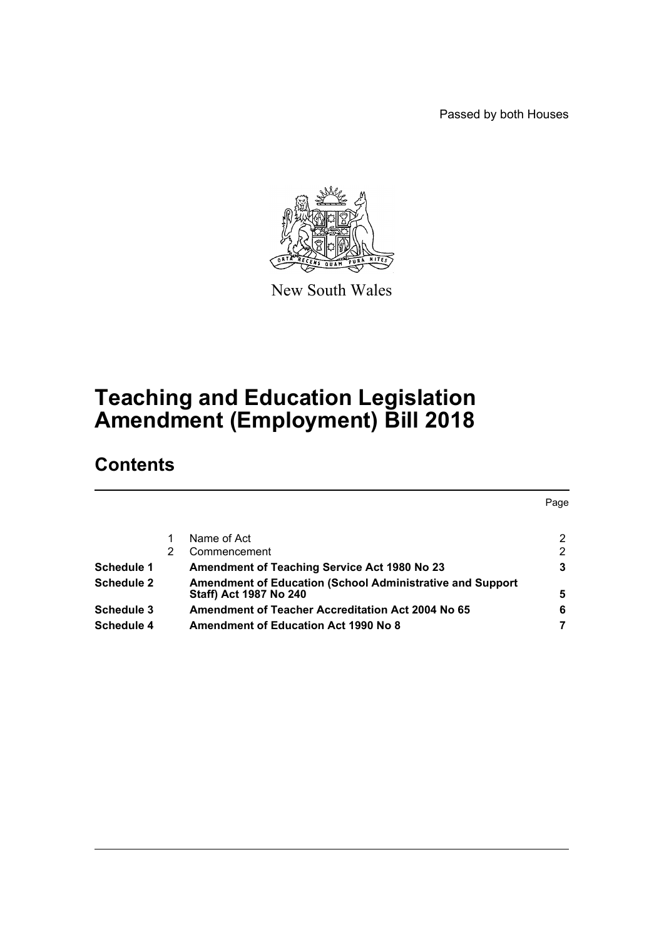Passed by both Houses



New South Wales

# **Teaching and Education Legislation Amendment (Employment) Bill 2018**

## **Contents**

|                   |   |                                                                  | Page |
|-------------------|---|------------------------------------------------------------------|------|
|                   |   |                                                                  |      |
|                   |   | Name of Act                                                      | 2    |
|                   | 2 | Commencement                                                     | 2    |
| <b>Schedule 1</b> |   | <b>Amendment of Teaching Service Act 1980 No 23</b>              | 3    |
| <b>Schedule 2</b> |   | <b>Amendment of Education (School Administrative and Support</b> |      |
|                   |   | <b>Staff) Act 1987 No 240</b>                                    | 5    |
| Schedule 3        |   | <b>Amendment of Teacher Accreditation Act 2004 No 65</b>         | 6    |
| Schedule 4        |   | <b>Amendment of Education Act 1990 No 8</b>                      |      |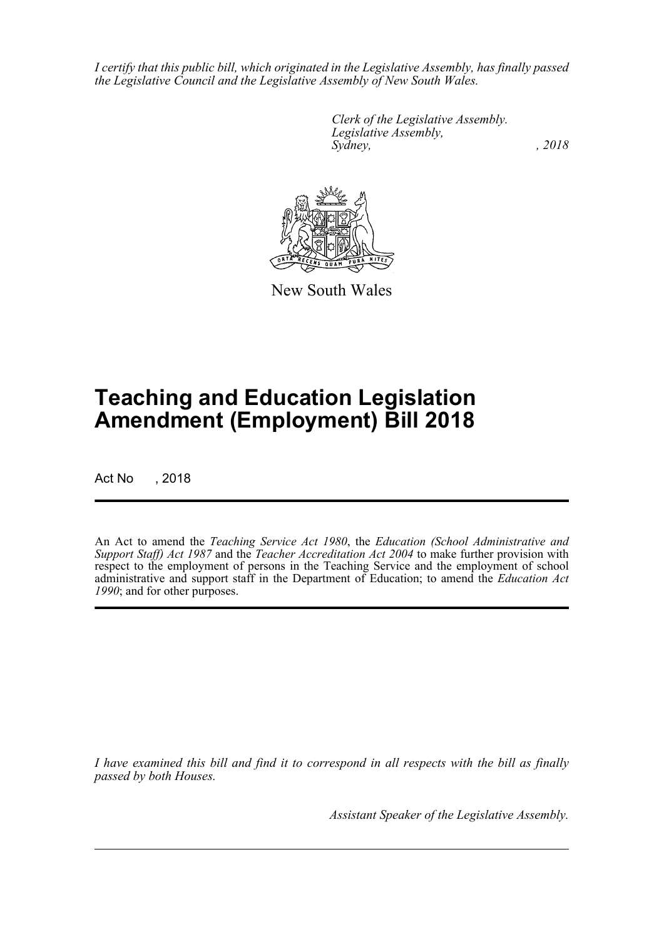*I certify that this public bill, which originated in the Legislative Assembly, has finally passed the Legislative Council and the Legislative Assembly of New South Wales.*

> *Clerk of the Legislative Assembly. Legislative Assembly, Sydney, , 2018*



New South Wales

# **Teaching and Education Legislation Amendment (Employment) Bill 2018**

Act No , 2018

An Act to amend the *Teaching Service Act 1980*, the *Education (School Administrative and Support Staff) Act 1987* and the *Teacher Accreditation Act 2004* to make further provision with respect to the employment of persons in the Teaching Service and the employment of school administrative and support staff in the Department of Education; to amend the *Education Act 1990*; and for other purposes.

*I have examined this bill and find it to correspond in all respects with the bill as finally passed by both Houses.*

*Assistant Speaker of the Legislative Assembly.*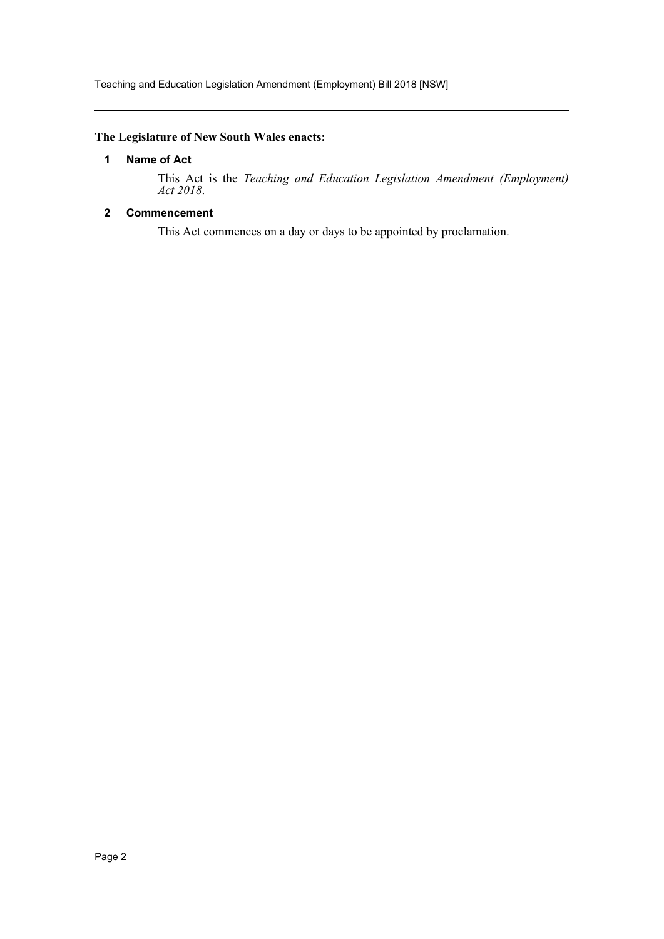Teaching and Education Legislation Amendment (Employment) Bill 2018 [NSW]

#### <span id="page-2-0"></span>**The Legislature of New South Wales enacts:**

#### **1 Name of Act**

This Act is the *Teaching and Education Legislation Amendment (Employment) Act 2018*.

#### <span id="page-2-1"></span>**2 Commencement**

This Act commences on a day or days to be appointed by proclamation.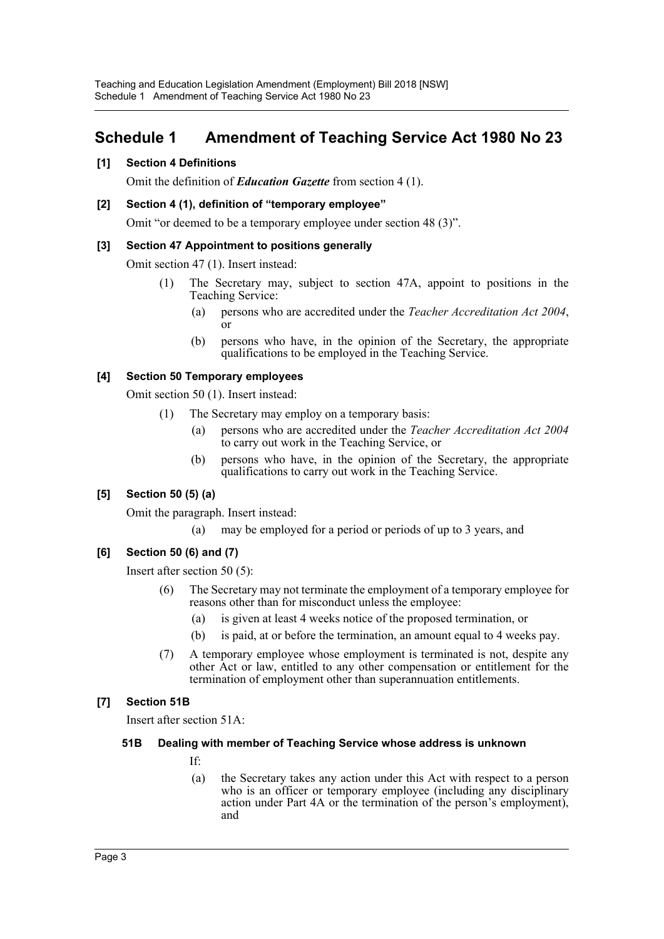### <span id="page-3-0"></span>**Schedule 1 Amendment of Teaching Service Act 1980 No 23**

#### **[1] Section 4 Definitions**

Omit the definition of *Education Gazette* from section 4 (1).

#### **[2] Section 4 (1), definition of "temporary employee"**

Omit "or deemed to be a temporary employee under section 48 (3)".

#### **[3] Section 47 Appointment to positions generally**

Omit section 47 (1). Insert instead:

- (1) The Secretary may, subject to section 47A, appoint to positions in the Teaching Service:
	- (a) persons who are accredited under the *Teacher Accreditation Act 2004*, or
	- (b) persons who have, in the opinion of the Secretary, the appropriate qualifications to be employed in the Teaching Service.

#### **[4] Section 50 Temporary employees**

Omit section 50 (1). Insert instead:

- (1) The Secretary may employ on a temporary basis:
	- (a) persons who are accredited under the *Teacher Accreditation Act 2004* to carry out work in the Teaching Service, or
	- (b) persons who have, in the opinion of the Secretary, the appropriate qualifications to carry out work in the Teaching Service.

#### **[5] Section 50 (5) (a)**

Omit the paragraph. Insert instead:

(a) may be employed for a period or periods of up to 3 years, and

#### **[6] Section 50 (6) and (7)**

Insert after section 50 (5):

- (6) The Secretary may not terminate the employment of a temporary employee for reasons other than for misconduct unless the employee:
	- (a) is given at least 4 weeks notice of the proposed termination, or
	- (b) is paid, at or before the termination, an amount equal to 4 weeks pay.
- (7) A temporary employee whose employment is terminated is not, despite any other Act or law, entitled to any other compensation or entitlement for the termination of employment other than superannuation entitlements.

#### **[7] Section 51B**

Insert after section 51A:

#### **51B Dealing with member of Teaching Service whose address is unknown**

- If:
- (a) the Secretary takes any action under this Act with respect to a person who is an officer or temporary employee (including any disciplinary action under Part 4A or the termination of the person's employment), and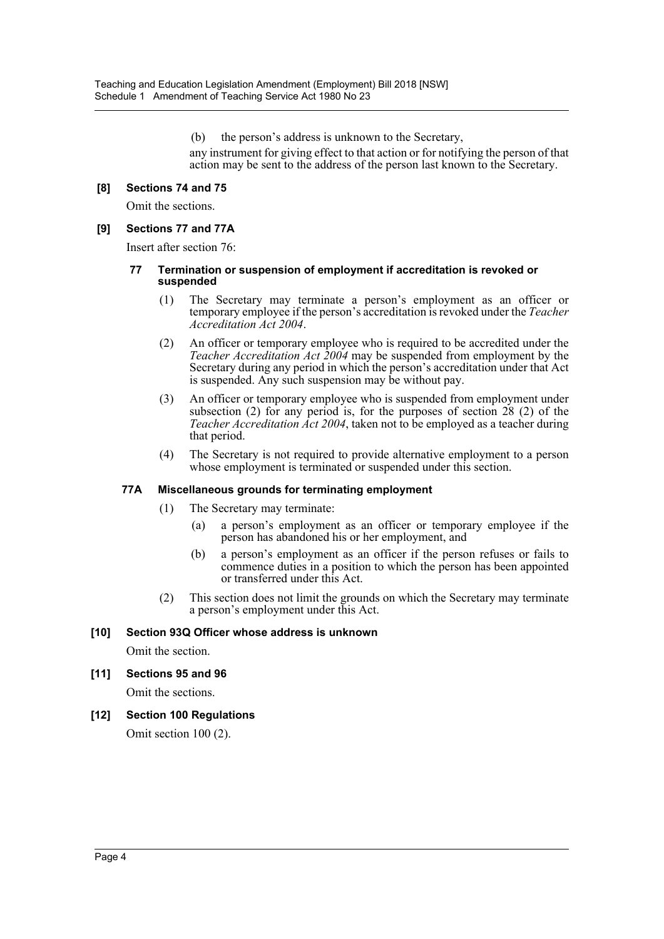(b) the person's address is unknown to the Secretary,

any instrument for giving effect to that action or for notifying the person of that action may be sent to the address of the person last known to the Secretary.

#### **[8] Sections 74 and 75**

Omit the sections.

#### **[9] Sections 77 and 77A**

Insert after section 76:

#### **77 Termination or suspension of employment if accreditation is revoked or suspended**

- (1) The Secretary may terminate a person's employment as an officer or temporary employee if the person's accreditation is revoked under the *Teacher Accreditation Act 2004*.
- (2) An officer or temporary employee who is required to be accredited under the *Teacher Accreditation Act 2004* may be suspended from employment by the Secretary during any period in which the person's accreditation under that Act is suspended. Any such suspension may be without pay.
- (3) An officer or temporary employee who is suspended from employment under subsection (2) for any period is, for the purposes of section 28 (2) of the *Teacher Accreditation Act 2004*, taken not to be employed as a teacher during that period.
- (4) The Secretary is not required to provide alternative employment to a person whose employment is terminated or suspended under this section.

#### **77A Miscellaneous grounds for terminating employment**

- (1) The Secretary may terminate:
	- (a) a person's employment as an officer or temporary employee if the person has abandoned his or her employment, and
	- (b) a person's employment as an officer if the person refuses or fails to commence duties in a position to which the person has been appointed or transferred under this Act.
- (2) This section does not limit the grounds on which the Secretary may terminate a person's employment under this Act.

#### **[10] Section 93Q Officer whose address is unknown**

Omit the section.

#### **[11] Sections 95 and 96**

Omit the sections.

**[12] Section 100 Regulations**

Omit section 100 (2).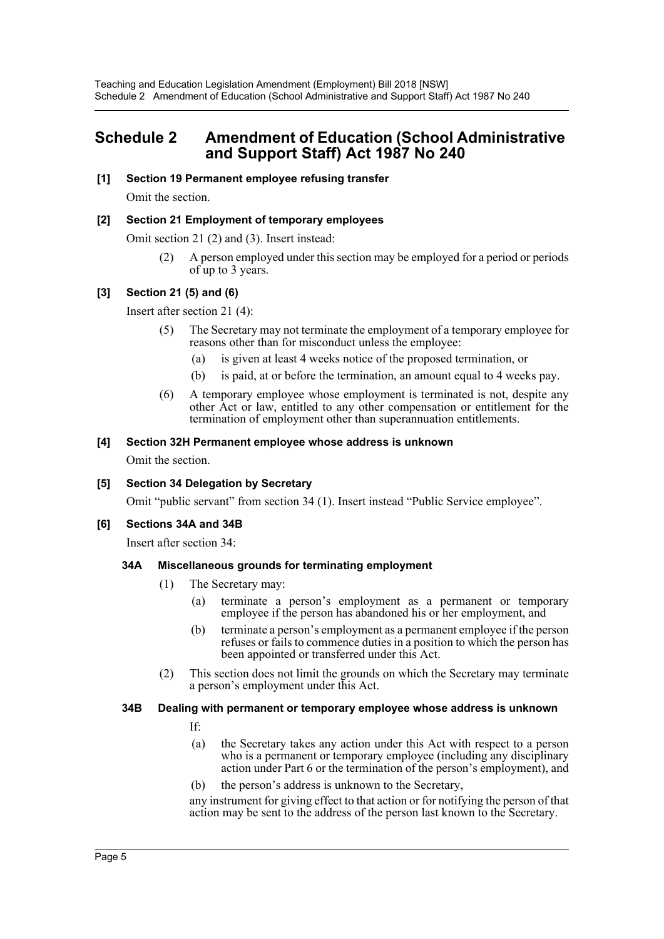### <span id="page-5-0"></span>**Schedule 2 Amendment of Education (School Administrative and Support Staff) Act 1987 No 240**

#### **[1] Section 19 Permanent employee refusing transfer**

Omit the section.

#### **[2] Section 21 Employment of temporary employees**

Omit section 21 (2) and (3). Insert instead:

(2) A person employed under this section may be employed for a period or periods of up to 3 years.

#### **[3] Section 21 (5) and (6)**

Insert after section 21 (4):

- (5) The Secretary may not terminate the employment of a temporary employee for reasons other than for misconduct unless the employee:
	- (a) is given at least 4 weeks notice of the proposed termination, or
	- (b) is paid, at or before the termination, an amount equal to 4 weeks pay.
- (6) A temporary employee whose employment is terminated is not, despite any other Act or law, entitled to any other compensation or entitlement for the termination of employment other than superannuation entitlements.

#### **[4] Section 32H Permanent employee whose address is unknown**

Omit the section.

#### **[5] Section 34 Delegation by Secretary**

Omit "public servant" from section 34 (1). Insert instead "Public Service employee".

#### **[6] Sections 34A and 34B**

Insert after section 34:

#### **34A Miscellaneous grounds for terminating employment**

- (1) The Secretary may:
	- (a) terminate a person's employment as a permanent or temporary employee if the person has abandoned his or her employment, and
	- (b) terminate a person's employment as a permanent employee if the person refuses or fails to commence duties in a position to which the person has been appointed or transferred under this Act.
- (2) This section does not limit the grounds on which the Secretary may terminate a person's employment under this Act.

#### **34B Dealing with permanent or temporary employee whose address is unknown**

If:

- (a) the Secretary takes any action under this Act with respect to a person who is a permanent or temporary employee (including any disciplinary action under Part 6 or the termination of the person's employment), and
- (b) the person's address is unknown to the Secretary,

any instrument for giving effect to that action or for notifying the person of that action may be sent to the address of the person last known to the Secretary.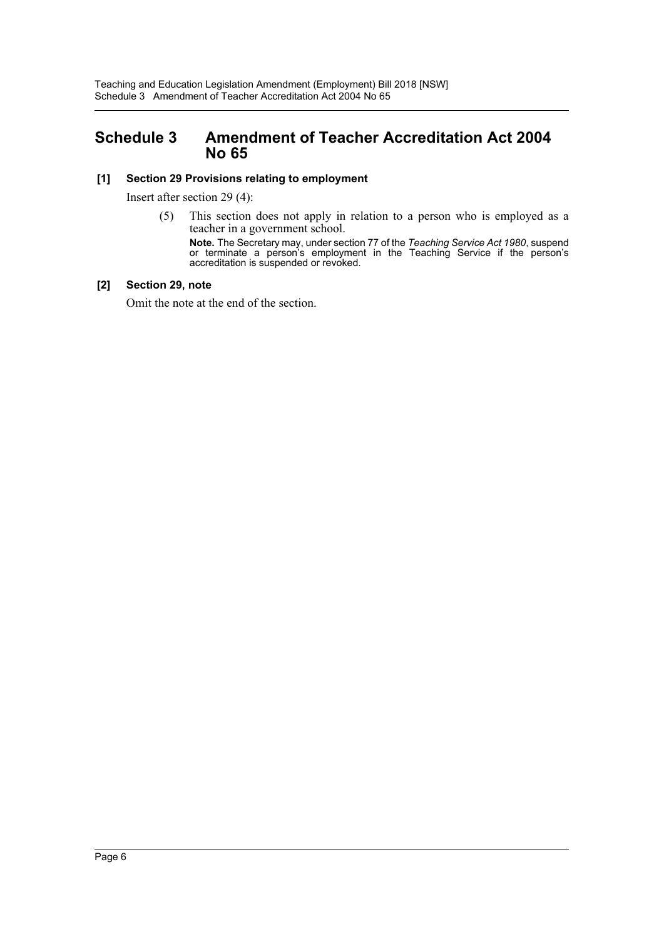### <span id="page-6-0"></span>**Schedule 3 Amendment of Teacher Accreditation Act 2004 No 65**

#### **[1] Section 29 Provisions relating to employment**

Insert after section 29 (4):

(5) This section does not apply in relation to a person who is employed as a teacher in a government school.

**Note.** The Secretary may, under section 77 of the *Teaching Service Act 1980*, suspend or terminate a person's employment in the Teaching Service if the person's accreditation is suspended or revoked.

#### **[2] Section 29, note**

Omit the note at the end of the section.